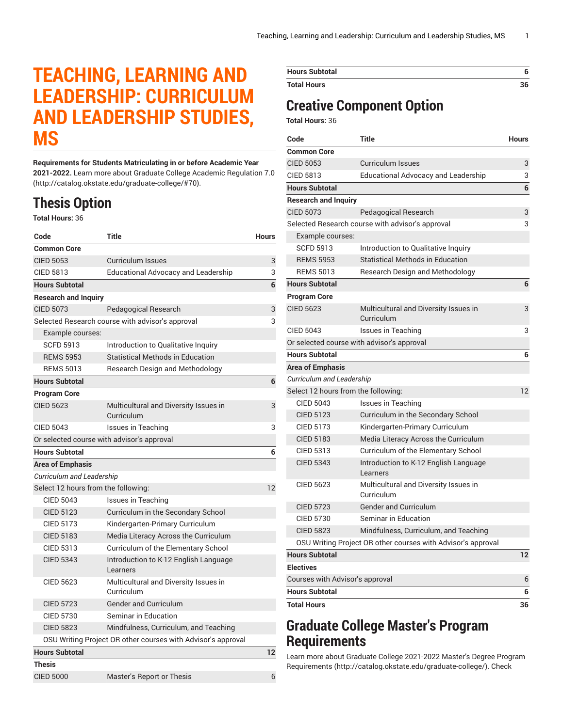# **TEACHING, LEARNING AND LEADERSHIP: CURRICULUM AND LEADERSHIP STUDIES, MS**

### **Requirements for Students Matriculating in or before Academic Year**

**2021-2022.** Learn more about [Graduate College Academic Regulation 7.0](http://catalog.okstate.edu/graduate-college/#70) (<http://catalog.okstate.edu/graduate-college/#70>).

## **Thesis Option**

#### **Total Hours:** 36

| Code                                                                    | <b>Title</b>                                                 | <b>Hours</b> |
|-------------------------------------------------------------------------|--------------------------------------------------------------|--------------|
| <b>Common Core</b>                                                      |                                                              |              |
| <b>CIED 5053</b>                                                        | <b>Curriculum Issues</b>                                     | 3            |
| <b>CIED 5813</b>                                                        | Educational Advocacy and Leadership                          | 3            |
| <b>Hours Subtotal</b>                                                   |                                                              | 6            |
| <b>Research and Inquiry</b>                                             |                                                              |              |
| <b>CIED 5073</b>                                                        | Pedagogical Research                                         | 3            |
|                                                                         | Selected Research course with advisor's approval             | 3            |
| Example courses:                                                        |                                                              |              |
| <b>SCFD 5913</b>                                                        | Introduction to Qualitative Inquiry                          |              |
| <b>REMS 5953</b>                                                        | Statistical Methods in Education                             |              |
| <b>REMS 5013</b>                                                        | <b>Research Design and Methodology</b>                       |              |
| <b>Hours Subtotal</b>                                                   |                                                              | 6            |
| <b>Program Core</b>                                                     |                                                              |              |
| <b>CIED 5623</b>                                                        | Multicultural and Diversity Issues in<br>Curriculum          | 3            |
| <b>CIED 5043</b>                                                        | Issues in Teaching                                           | 3            |
|                                                                         | Or selected course with advisor's approval                   |              |
| <b>Hours Subtotal</b>                                                   |                                                              | 6            |
|                                                                         |                                                              |              |
| <b>Area of Emphasis</b>                                                 |                                                              |              |
| <b>Curriculum and Leadership</b><br>Select 12 hours from the following: |                                                              | 12           |
|                                                                         |                                                              |              |
| CIED 5043                                                               | Issues in Teaching                                           |              |
| <b>CIED 5123</b>                                                        | Curriculum in the Secondary School                           |              |
| <b>CIED 5173</b>                                                        | Kindergarten-Primary Curriculum                              |              |
| <b>CIED 5183</b>                                                        | Media Literacy Across the Curriculum                         |              |
| CIED 5313                                                               | Curriculum of the Elementary School                          |              |
| <b>CIED 5343</b>                                                        | Introduction to K-12 English Language<br>Learners            |              |
| <b>CIED 5623</b>                                                        | Multicultural and Diversity Issues in<br>Curriculum          |              |
| <b>CIED 5723</b>                                                        | <b>Gender and Curriculum</b>                                 |              |
| <b>CIED 5730</b>                                                        | Seminar in Education                                         |              |
| <b>CIED 5823</b>                                                        | Mindfulness, Curriculum, and Teaching                        |              |
|                                                                         | OSU Writing Project OR other courses with Advisor's approval |              |
| <b>Hours Subtotal</b>                                                   |                                                              | 12           |
| <b>Thesis</b>                                                           |                                                              |              |
| <b>CIED 5000</b>                                                        | Master's Report or Thesis                                    | 6            |

| Hours Subtotal     |  |
|--------------------|--|
| <b>Total Hours</b> |  |

## **Creative Component Option**

**Total Hours:** 36

| Code                                | Title                                                        | <b>Hours</b> |
|-------------------------------------|--------------------------------------------------------------|--------------|
| <b>Common Core</b>                  |                                                              |              |
| <b>CIED 5053</b>                    | <b>Curriculum Issues</b>                                     | 3            |
| <b>CIED 5813</b>                    | <b>Educational Advocacy and Leadership</b>                   | 3            |
| <b>Hours Subtotal</b>               |                                                              | 6            |
| <b>Research and Inquiry</b>         |                                                              |              |
| <b>CIED 5073</b>                    | Pedagogical Research                                         | 3            |
|                                     | Selected Research course with advisor's approval             | 3            |
| Example courses:                    |                                                              |              |
| <b>SCFD 5913</b>                    | Introduction to Qualitative Inquiry                          |              |
| <b>REMS 5953</b>                    | <b>Statistical Methods in Education</b>                      |              |
| <b>REMS 5013</b>                    | Research Design and Methodology                              |              |
| <b>Hours Subtotal</b>               |                                                              | 6            |
| <b>Program Core</b>                 |                                                              |              |
| <b>CIED 5623</b>                    | Multicultural and Diversity Issues in<br>Curriculum          | 3            |
| <b>CIED 5043</b>                    | Issues in Teaching                                           | 3            |
|                                     | Or selected course with advisor's approval                   |              |
| <b>Hours Subtotal</b>               |                                                              | 6            |
| <b>Area of Emphasis</b>             |                                                              |              |
| <b>Curriculum and Leadership</b>    |                                                              |              |
| Select 12 hours from the following: |                                                              | 12           |
| <b>CIED 5043</b>                    | <b>Issues in Teaching</b>                                    |              |
| <b>CIED 5123</b>                    | Curriculum in the Secondary School                           |              |
| <b>CIED 5173</b>                    | Kindergarten-Primary Curriculum                              |              |
| <b>CIED 5183</b>                    | Media Literacy Across the Curriculum                         |              |
| <b>CIED 5313</b>                    | Curriculum of the Elementary School                          |              |
| <b>CIED 5343</b>                    | Introduction to K-12 English Language<br>Learners            |              |
| <b>CIED 5623</b>                    | Multicultural and Diversity Issues in<br>Curriculum          |              |
| <b>CIED 5723</b>                    | <b>Gender and Curriculum</b>                                 |              |
| <b>CIED 5730</b>                    | Seminar in Education                                         |              |
| <b>CIED 5823</b>                    | Mindfulness, Curriculum, and Teaching                        |              |
|                                     | OSU Writing Project OR other courses with Advisor's approval |              |
| <b>Hours Subtotal</b>               |                                                              | 12           |
| <b>Electives</b>                    |                                                              |              |
| Courses with Advisor's approval     |                                                              | 6            |
| <b>Hours Subtotal</b>               |                                                              | 6            |
| <b>Total Hours</b>                  |                                                              | 36           |

## **Graduate College Master's Program Requirements**

Learn more about Graduate College 2021-2022 Master's Degree [Program](http://catalog.okstate.edu/graduate-college/) [Requirements \(http://catalog.okstate.edu/graduate-college/\)](http://catalog.okstate.edu/graduate-college/). Check